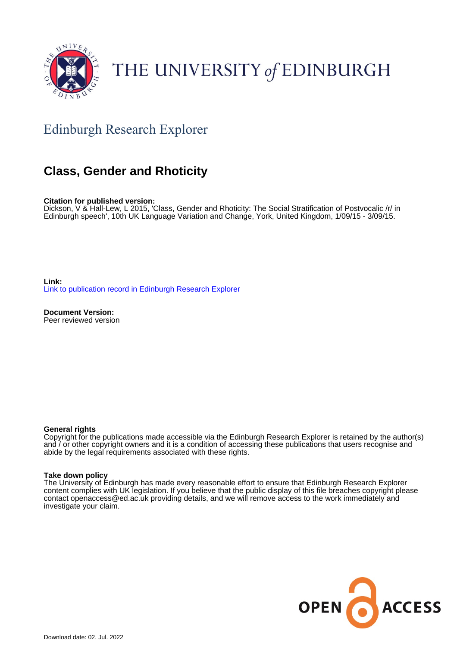

# THE UNIVERSITY of EDINBURGH

### Edinburgh Research Explorer

### **Class, Gender and Rhoticity**

**Citation for published version:**

Dickson, V & Hall-Lew, L 2015, 'Class, Gender and Rhoticity: The Social Stratification of Postvocalic /r/ in Edinburgh speech', 10th UK Language Variation and Change, York, United Kingdom, 1/09/15 - 3/09/15.

**Link:** [Link to publication record in Edinburgh Research Explorer](https://www.research.ed.ac.uk/en/publications/b1c85b35-b4e5-44a2-b860-44e3112dd293)

**Document Version:** Peer reviewed version

#### **General rights**

Copyright for the publications made accessible via the Edinburgh Research Explorer is retained by the author(s) and / or other copyright owners and it is a condition of accessing these publications that users recognise and abide by the legal requirements associated with these rights.

#### **Take down policy**

The University of Edinburgh has made every reasonable effort to ensure that Edinburgh Research Explorer content complies with UK legislation. If you believe that the public display of this file breaches copyright please contact openaccess@ed.ac.uk providing details, and we will remove access to the work immediately and investigate your claim.